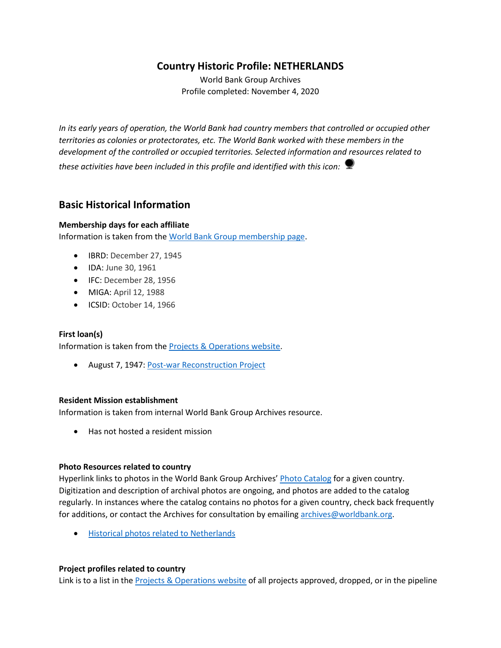# **Country Historic Profile: NETHERLANDS**

World Bank Group Archives Profile completed: November 4, 2020

*In its early years of operation, the World Bank had country members that controlled or occupied other territories as colonies or protectorates, etc. The World Bank worked with these members in the development of the controlled or occupied territories. Selected information and resources related to these activities have been included in this profile and identified with this icon:*

# **Basic Historical Information**

## **Membership days for each affiliate**

Information is taken from the [World Bank Group membership page.](https://www.worldbank.org/en/about/leadership/members#1)

- IBRD: December 27, 1945
- IDA: June 30, 1961
- IFC: December 28, 1956
- MIGA: April 12, 1988
- ICSID: October 14, 1966

### **First loan(s)**

Information is taken from the [Projects & Operations website.](https://projects.worldbank.org/)

• August 7, 1947: [Post-war Reconstruction Project](https://projects.worldbank.org/en/projects-operations/project-detail/P037452)

### **Resident Mission establishment**

Information is taken from internal World Bank Group Archives resource.

• Has not hosted a resident mission

### **Photo Resources related to country**

Hyperlink links to photos in the World Bank Group Archives' [Photo Catalog](https://archivesphotos.worldbank.org/en/about/archives/photo-gallery) for a given country. Digitization and description of archival photos are ongoing, and photos are added to the catalog regularly. In instances where the catalog contains no photos for a given country, check back frequently for additions, or contact the Archives for consultation by emailin[g archives@worldbank.org.](mailto:archives@worldbank.org)

• [Historical photos related to Netherlands](https://archivesphotos.worldbank.org/en/about/archives/photo-gallery/photo-gallery-landing?qterm=Netherlands&x=0&y=0)

### **Project profiles related to country**

Link is to a list in the **Projects & Operations website of all projects approved**, dropped, or in the pipeline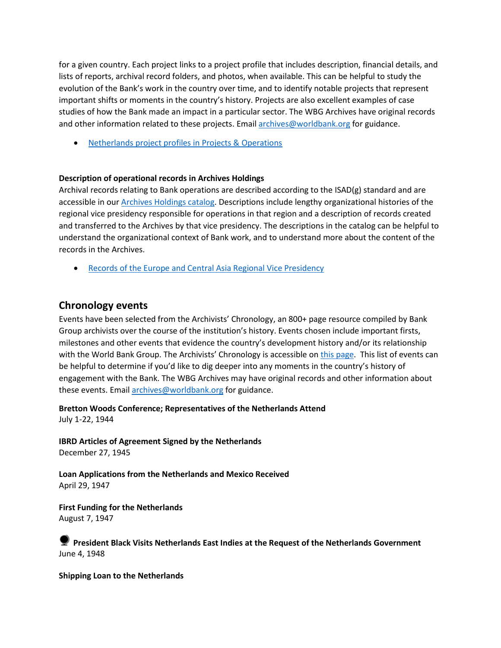for a given country. Each project links to a project profile that includes description, financial details, and lists of reports, archival record folders, and photos, when available. This can be helpful to study the evolution of the Bank's work in the country over time, and to identify notable projects that represent important shifts or moments in the country's history. Projects are also excellent examples of case studies of how the Bank made an impact in a particular sector. The WBG Archives have original records and other information related to these projects. Email **archives@worldbank.org** for guidance.

• [Netherlands project profiles in Projects & Operations](https://projects.worldbank.org/en/projects-operations/projects-list?searchTerm=netherlands)

### **Description of operational records in Archives Holdings**

Archival records relating to Bank operations are described according to the ISAD(g) standard and are accessible in our [Archives Holdings catalog.](https://archivesholdings.worldbank.org/) Descriptions include lengthy organizational histories of the regional vice presidency responsible for operations in that region and a description of records created and transferred to the Archives by that vice presidency. The descriptions in the catalog can be helpful to understand the organizational context of Bank work, and to understand more about the content of the records in the Archives.

• [Records of the Europe and Central Asia Regional Vice Presidency](https://archivesholdings.worldbank.org/records-of-europe-and-central-asia-regional-vice-presidency)

## **Chronology events**

Events have been selected from the Archivists' Chronology, an 800+ page resource compiled by Bank Group archivists over the course of the institution's history. Events chosen include important firsts, milestones and other events that evidence the country's development history and/or its relationship with the World Bank Group. The Archivists' Chronology is accessible on [this page.](https://www.worldbank.org/en/about/archives/history/timeline) This list of events can be helpful to determine if you'd like to dig deeper into any moments in the country's history of engagement with the Bank. The WBG Archives may have original records and other information about these events. Email [archives@worldbank.org](mailto:archives@worldbank.org) for guidance.

**Bretton Woods Conference; Representatives of the Netherlands Attend** July 1-22, 1944

**IBRD Articles of Agreement Signed by the Netherlands**  December 27, 1945

**Loan Applications from the Netherlands and Mexico Received** April 29, 1947

**First Funding for the Netherlands** August 7, 1947

## **President Black Visits Netherlands East Indies at the Request of the Netherlands Government** June 4, 1948

**Shipping Loan to the Netherlands**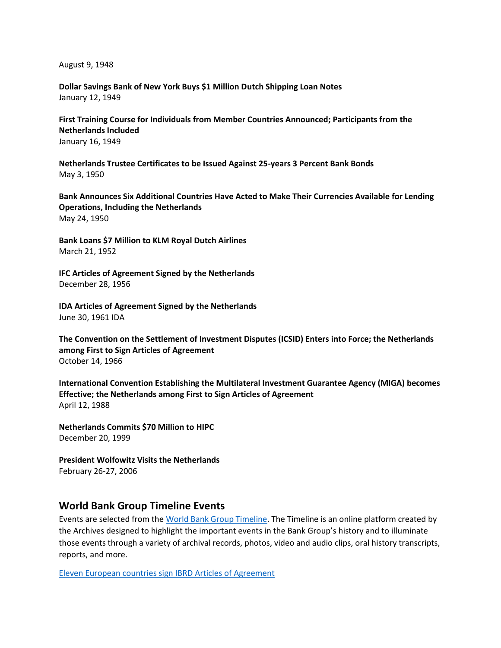August 9, 1948

**Dollar Savings Bank of New York Buys \$1 Million Dutch Shipping Loan Notes** January 12, 1949

**First Training Course for Individuals from Member Countries Announced; Participants from the Netherlands Included** January 16, 1949

**Netherlands Trustee Certificates to be Issued Against 25-years 3 Percent Bank Bonds** May 3, 1950

**Bank Announces Six Additional Countries Have Acted to Make Their Currencies Available for Lending Operations, Including the Netherlands** May 24, 1950

**Bank Loans \$7 Million to KLM Royal Dutch Airlines** March 21, 1952

**IFC Articles of Agreement Signed by the Netherlands**  December 28, 1956

**IDA Articles of Agreement Signed by the Netherlands** June 30, 1961 IDA

**The Convention on the Settlement of Investment Disputes (ICSID) Enters into Force; the Netherlands among First to Sign Articles of Agreement** October 14, 1966

**International Convention Establishing the Multilateral Investment Guarantee Agency (MIGA) becomes Effective; the Netherlands among First to Sign Articles of Agreement** April 12, 1988

**Netherlands Commits \$70 Million to HIPC** December 20, 1999

**President Wolfowitz Visits the Netherlands** February 26-27, 2006

## **World Bank Group Timeline Events**

Events are selected from th[e World Bank Group Timeline.](https://timeline.worldbank.org/#event-bretton-woods-conference-begins) The Timeline is an online platform created by the Archives designed to highlight the important events in the Bank Group's history and to illuminate those events through a variety of archival records, photos, video and audio clips, oral history transcripts, reports, and more.

[Eleven European countries sign IBRD Articles of Agreement](https://timeline.worldbank.org/?field_timeline_target_id=All&combine=netherlands#event-eleven-european-countries-sign-ibrd-articles-of-agreement)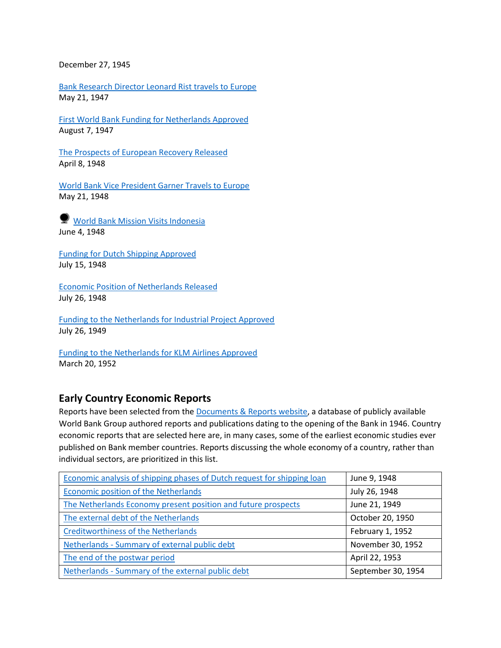December 27, 1945

[Bank Research Director Leonard Rist travels to Europe](https://timeline.worldbank.org/?field_timeline_target_id=All&combine=netherlands#event-bank-research-director-leonard-rist-travels-to-europe) May 21, 1947

[First World Bank Funding for Netherlands Approved](https://timeline.worldbank.org/?field_timeline_target_id=All&combine=netherlands#event-first-world-bank-funding-for-netherlands-approved) August 7, 1947

[The Prospects of European Recovery Released](https://timeline.worldbank.org/?field_timeline_target_id=All&combine=netherlands#event-the-prospects-of-european-recovery-released) April 8, 1948

[World Bank Vice President Garner Travels to Europe](https://timeline.worldbank.org/?field_timeline_target_id=All&combine=netherlands#event-world-bank-vice-president-garner-travels-to-europe) May 21, 1948

**[World Bank Mission Visits Indonesia](https://timeline.worldbank.org/?field_timeline_target_id=All&combine=netherlands#event-world-bank-mission-visits-indonesia)** June 4, 1948

[Funding for Dutch Shipping Approved](https://timeline.worldbank.org/?field_timeline_target_id=All&combine=netherlands#event-funding-for-dutch-shipping-approved) July 15, 1948

[Economic Position of Netherlands Released](https://timeline.worldbank.org/?field_timeline_target_id=All&combine=netherlands#event-economic-position-of-the-netherlands-released) July 26, 1948

[Funding to the Netherlands for Industrial Project Approved](https://timeline.worldbank.org/?field_timeline_target_id=All&combine=netherlands#event-funding-to-the-netherlands-for-industrial-projects-approved) July 26, 1949

[Funding to the Netherlands for KLM Airlines Approved](https://timeline.worldbank.org/?field_timeline_target_id=All&combine=netherlands#event-funding-to-the-netherlands-for-klm-airlines-approved) March 20, 1952

## **Early Country Economic Reports**

Reports have been selected from the [Documents & Reports website,](https://documents.worldbank.org/) a database of publicly available World Bank Group authored reports and publications dating to the opening of the Bank in 1946. Country economic reports that are selected here are, in many cases, some of the earliest economic studies ever published on Bank member countries. Reports discussing the whole economy of a country, rather than individual sectors, are prioritized in this list.

| Economic analysis of shipping phases of Dutch request for shipping loan | June 9, 1948       |
|-------------------------------------------------------------------------|--------------------|
| Economic position of the Netherlands                                    | July 26, 1948      |
| The Netherlands Economy present position and future prospects           | June 21, 1949      |
| The external debt of the Netherlands                                    | October 20, 1950   |
| <b>Creditworthiness of the Netherlands</b>                              | February 1, 1952   |
| Netherlands - Summary of external public debt                           | November 30, 1952  |
| The end of the postwar period                                           | April 22, 1953     |
| Netherlands - Summary of the external public debt                       | September 30, 1954 |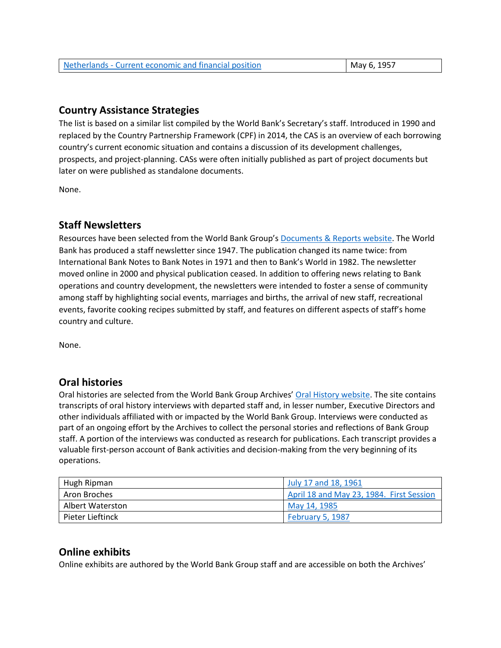| Netherlands - Current economic and financial position | May 6, 1957 |
|-------------------------------------------------------|-------------|
|                                                       |             |

# **Country Assistance Strategies**

The list is based on a similar list compiled by the World Bank's Secretary's staff. Introduced in 1990 and replaced by the Country Partnership Framework (CPF) in 2014, the CAS is an overview of each borrowing country's current economic situation and contains a discussion of its development challenges, prospects, and project-planning. CASs were often initially published as part of project documents but later on were published as standalone documents.

None.

# **Staff Newsletters**

Resources have been selected from the World Bank Group's [Documents & Reports website.](https://documents.worldbank.org/) The World Bank has produced a staff newsletter since 1947. The publication changed its name twice: from International Bank Notes to Bank Notes in 1971 and then to Bank's World in 1982. The newsletter moved online in 2000 and physical publication ceased. In addition to offering news relating to Bank operations and country development, the newsletters were intended to foster a sense of community among staff by highlighting social events, marriages and births, the arrival of new staff, recreational events, favorite cooking recipes submitted by staff, and features on different aspects of staff's home country and culture.

None.

# **Oral histories**

Oral histories are selected from the World Bank Group Archives' [Oral History website.](https://oralhistory.worldbank.org/) The site contains transcripts of oral history interviews with departed staff and, in lesser number, Executive Directors and other individuals affiliated with or impacted by the World Bank Group. Interviews were conducted as part of an ongoing effort by the Archives to collect the personal stories and reflections of Bank Group staff. A portion of the interviews was conducted as research for publications. Each transcript provides a valuable first-person account of Bank activities and decision-making from the very beginning of its operations.

| Hugh Ripman      | July 17 and 18, 1961                     |
|------------------|------------------------------------------|
| Aron Broches     | April 18 and May 23, 1984. First Session |
| Albert Waterston | May 14, 1985                             |
| Pieter Lieftinck | February 5, 1987                         |

# **Online exhibits**

Online exhibits are authored by the World Bank Group staff and are accessible on both the Archives'